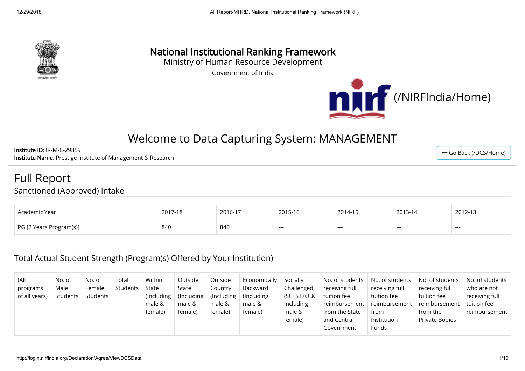

# National Institutional Ranking Framework

Ministry of Human Resource Development

Government of India



# Welcome to Data Capturing System: MANAGEMENT

Institute ID: IR-M-C-29859 Institute Name: Prestige Institute of Management & Research

Full Report

Sanctioned (Approved) Intake

| Academic Year                       | $2017.40$<br>$1 - 10$<br>ZU L | 2016-17 | 2015-16 | 2014-15 | 2013-14 | 2012-13 |
|-------------------------------------|-------------------------------|---------|---------|---------|---------|---------|
| <b>PG [2</b><br>? Years Program(s)] | 840                           | 840     | $---$   | $--$    | ---     | ---     |

#### Total Actual Student Strength (Program(s) Offered by Your Institution)

| (All<br>programs<br>of all years) | No. of<br>Male<br>Students | No. of<br>Female<br>Students | Total<br>Students | Within<br>State<br>(Including)<br>male &<br>female) | Outside<br>State<br>(Including)<br>male &<br>female) | Outside<br>Country<br>(Including<br>male &<br>female) | Economically<br>Backward<br>(Including)<br>male &<br>female) | Socially<br>Challenged<br>(SC+ST+OBC<br><b>Including</b><br>male & | No. of students<br>receiving full<br>tuition fee<br>reimbursement<br>from the State | No. of students<br>receiving full<br>tuition fee<br>reimbursement<br>from | No. of students<br>receiving full<br>tuition fee<br>reimbursement<br>from the | No. of students N<br>who are not<br>receiving full<br>tuition fee<br>reimbursement |
|-----------------------------------|----------------------------|------------------------------|-------------------|-----------------------------------------------------|------------------------------------------------------|-------------------------------------------------------|--------------------------------------------------------------|--------------------------------------------------------------------|-------------------------------------------------------------------------------------|---------------------------------------------------------------------------|-------------------------------------------------------------------------------|------------------------------------------------------------------------------------|
|                                   |                            |                              |                   |                                                     |                                                      |                                                       |                                                              | female)                                                            | and Central<br>Government                                                           | Institution<br><b>Funds</b>                                               | <b>Private Bodies</b>                                                         |                                                                                    |

← [Go Back \(/DCS/Home\)](http://login.nirfindia.org/DCS/Home)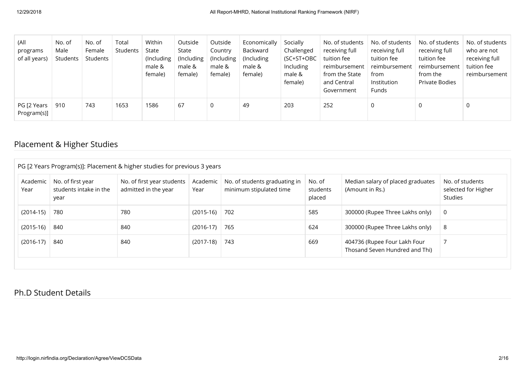| (All<br>programs<br>of all years) | No. of<br>Male<br>Students | No. of<br>Female<br>Students | Total<br>Students | Within<br>State<br>(Including<br>male &<br>female) | Outside<br>State<br>(Including<br>male &<br>female) | Outside<br>Country<br>(Including<br>male &<br>female) | Economically<br>Backward<br>(Including<br>male &<br>female) | Socially<br>Challenged<br>(SC+ST+OBC<br>Including<br>male &<br>female) | No. of students<br>receiving full<br>tuition fee<br>reimbursement<br>from the State<br>and Central<br>Government | No. of students<br>receiving full<br>tuition fee<br>reimbursement<br>from<br>Institution<br>Funds | No. of students<br>receiving full<br>tuition fee<br>reimbursement<br>from the<br>Private Bodies | No. of students<br>who are not<br>receiving full<br>tuition fee<br>reimbursement |
|-----------------------------------|----------------------------|------------------------------|-------------------|----------------------------------------------------|-----------------------------------------------------|-------------------------------------------------------|-------------------------------------------------------------|------------------------------------------------------------------------|------------------------------------------------------------------------------------------------------------------|---------------------------------------------------------------------------------------------------|-------------------------------------------------------------------------------------------------|----------------------------------------------------------------------------------|
| PG [2 Years<br>Program(s)]        | 910                        | 743                          | 1653              | 1586                                               | 67                                                  | 0                                                     | 49                                                          | 203                                                                    | 252                                                                                                              |                                                                                                   | 0                                                                                               | 0                                                                                |

### Placement & Higher Studies

| Academic<br>Year | No. of first year<br>students intake in the<br>year | No. of first year students<br>admitted in the year | Academic<br>Year | No. of students graduating in<br>minimum stipulated time | No. of<br>students<br>placed | Median salary of placed graduates<br>(Amount in Rs.)           | No. of students<br>selected for Higher<br>Studies |
|------------------|-----------------------------------------------------|----------------------------------------------------|------------------|----------------------------------------------------------|------------------------------|----------------------------------------------------------------|---------------------------------------------------|
| $(2014-15)$      | 780                                                 | 780                                                | $(2015-16)$ 702  |                                                          | 585                          | 300000 (Rupee Three Lakhs only)                                | 0                                                 |
| $(2015-16)$      | 840                                                 | 840                                                | $(2016-17)$      | 765                                                      | 624                          | 300000 (Rupee Three Lakhs only)                                | 8                                                 |
| $(2016-17)$      | 840                                                 | 840                                                | $(2017-18)$ 743  |                                                          | 669                          | 404736 (Rupee Four Lakh Four<br>Thosand Seven Hundred and Thi) |                                                   |

#### Ph.D Student Details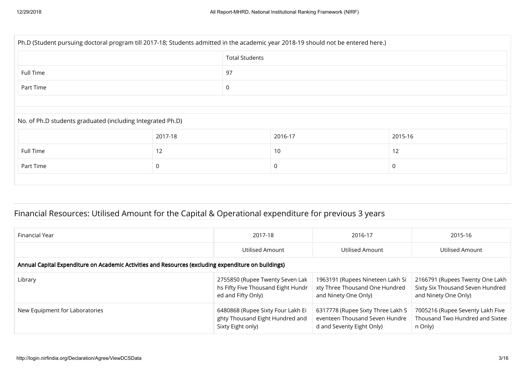| Ph.D (Student pursuing doctoral program till 2017-18; Students admitted in the academic year 2018-19 should not be entered here.) |         |                       |          |         |  |  |  |
|-----------------------------------------------------------------------------------------------------------------------------------|---------|-----------------------|----------|---------|--|--|--|
|                                                                                                                                   |         | <b>Total Students</b> |          |         |  |  |  |
| Full Time<br>97                                                                                                                   |         |                       |          |         |  |  |  |
| Part Time                                                                                                                         |         | 0                     |          |         |  |  |  |
|                                                                                                                                   |         |                       |          |         |  |  |  |
| No. of Ph.D students graduated (including Integrated Ph.D)                                                                        |         |                       |          |         |  |  |  |
|                                                                                                                                   | 2017-18 |                       | 2016-17  | 2015-16 |  |  |  |
| Full Time                                                                                                                         | 12      |                       | 10       | 12      |  |  |  |
| Part Time                                                                                                                         | 0       |                       | $\Omega$ | 0       |  |  |  |
|                                                                                                                                   |         |                       |          |         |  |  |  |

## Financial Resources: Utilised Amount for the Capital & Operational expenditure for previous 3 years

| Financial Year                                                                                       | 2017-18                                                                                     | 2016-17                                                                                          | 2015-16                                                                                     |
|------------------------------------------------------------------------------------------------------|---------------------------------------------------------------------------------------------|--------------------------------------------------------------------------------------------------|---------------------------------------------------------------------------------------------|
|                                                                                                      | Utilised Amount                                                                             | Utilised Amount                                                                                  | Utilised Amount                                                                             |
| Annual Capital Expenditure on Academic Activities and Resources (excluding expenditure on buildings) |                                                                                             |                                                                                                  |                                                                                             |
| Library                                                                                              | 2755850 (Rupee Twenty Seven Lak<br>hs Fifty Five Thousand Eight Hundr<br>ed and Fifty Only) | 1963191 (Rupees Nineteen Lakh Si<br>xty Three Thousand One Hundred<br>and Ninety One Only)       | 2166791 (Rupees Twenty One Lakh<br>Sixty Six Thousand Seven Hundred<br>and Ninety One Only) |
| New Equipment for Laboratories                                                                       | 6480868 (Rupee Sixty Four Lakh Ei<br>ghty Thousand Eight Hundred and<br>Sixty Eight only)   | 6317778 (Rupee Sixty Three Lakh S<br>eventeen Thousand Seven Hundre<br>d and Seventy Eight Only) | 7005216 (Rupee Seventy Lakh Five<br>Thousand Two Hundred and Sixtee<br>n Only)              |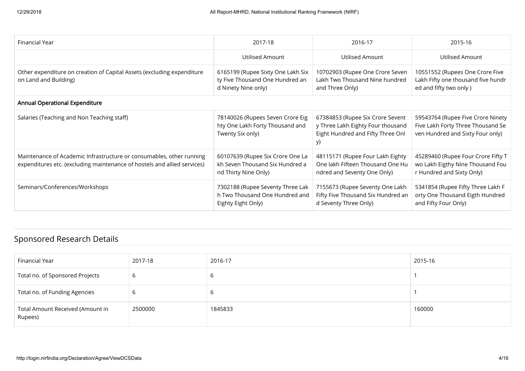| Financial Year                                                                                                                                   | 2017-18                                                                                     | 2016-17                                                                                                          | 2015-16                                                                                                    |
|--------------------------------------------------------------------------------------------------------------------------------------------------|---------------------------------------------------------------------------------------------|------------------------------------------------------------------------------------------------------------------|------------------------------------------------------------------------------------------------------------|
|                                                                                                                                                  | Utilised Amount                                                                             | Utilised Amount                                                                                                  | Utilised Amount                                                                                            |
| Other expenditure on creation of Capital Assets (excluding expenditure<br>on Land and Building)                                                  | 6165199 (Rupee Sixty One Lakh Six<br>ty Five Thousand One Hundred an<br>d Ninety Nine only) | 10702903 (Rupee One Crore Seven<br>Lakh Two Thousand Nine hundred<br>and Three Only)                             | 10551552 (Rupees One Crore Five<br>Lakh Fifty one thousand five hundr<br>ed and fifty two only )           |
| <b>Annual Operational Expenditure</b>                                                                                                            |                                                                                             |                                                                                                                  |                                                                                                            |
| Salaries (Teaching and Non Teaching staff)                                                                                                       | 78140026 (Rupees Seven Crore Eig<br>hty One Lakh Forty Thousand and<br>Twenty Six only)     | 67384853 (Rupee Six Crore Sevent<br>y Three Lakh Eighty Four thousand<br>Eight Hundred and Fifty Three Onl<br>y) | 59543764 (Rupee Five Crore Ninety<br>Five Lakh Forty Three Thousand Se<br>ven Hundred and Sixty Four only) |
| Maintenance of Academic Infrastructure or consumables, other running<br>expenditures etc. (excluding maintenance of hostels and allied services) | 60107639 (Rupee Six Crore One La<br>kh Seven Thousand Six Hundred a<br>nd Thirty Nine Only) | 48115171 (Rupee Four Lakh Eighty<br>One lakh Fifteen Thousand One Hu<br>ndred and Seventy One Only)              | 45289460 (Rupee Four Crore Fifty T<br>wo Lakh Eigthy Nine Thousand Fou<br>r Hundred and Sixty Only)        |
| Seminars/Conferences/Workshops                                                                                                                   | 7302188 (Rupee Seventy Three Lak<br>h Two Thousand One Hundred and<br>Eighty Eight Only)    | 7155673 (Rupee Seventy One Lakh<br>Fifty Five Thousand Six Hundred an<br>d Seventy Three Only)                   | 5341854 (Rupee Fifty Three Lakh F<br>orty One Thousand Eigth Hundred<br>and Fifty Four Only)               |

### Sponsored Research Details

| Financial Year                              | 2017-18 | 2016-17 | 2015-16 |
|---------------------------------------------|---------|---------|---------|
| Total no. of Sponsored Projects             | 6       |         |         |
| Total no. of Funding Agencies               | b       |         |         |
| Total Amount Received (Amount in<br>Rupees) | 2500000 | 1845833 | 160000  |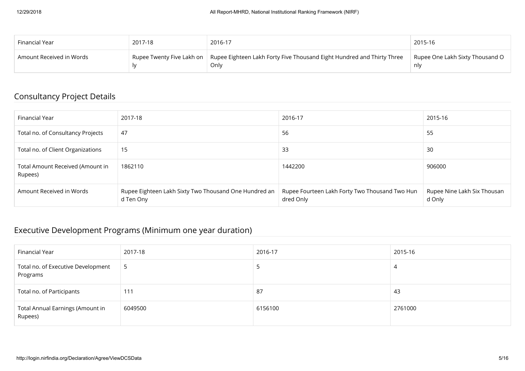| Financial Year           | 2017-18                   | 2016-17                                                                        | 2015-16                                |
|--------------------------|---------------------------|--------------------------------------------------------------------------------|----------------------------------------|
| Amount Received in Words | Rupee Twenty Five Lakh on | Rupee Eighteen Lakh Forty Five Thousand Eight Hundred and Thirty Three<br>Only | Rupee One Lakh Sixty Thousand O<br>nlv |

### Consultancy Project Details

| Financial Year                              | 2017-18                                                            | 2016-17                                                     | 2015-16                               |
|---------------------------------------------|--------------------------------------------------------------------|-------------------------------------------------------------|---------------------------------------|
| Total no. of Consultancy Projects           | 47                                                                 | 56                                                          | 55                                    |
| Total no. of Client Organizations           | 15                                                                 | 33                                                          | 30                                    |
| Total Amount Received (Amount in<br>Rupees) | 1862110                                                            | 1442200                                                     | 906000                                |
| Amount Received in Words                    | Rupee Eighteen Lakh Sixty Two Thousand One Hundred an<br>d Ten Ony | Rupee Fourteen Lakh Forty Two Thousand Two Hun<br>dred Only | Rupee Nine Lakh Six Thousan<br>d Only |

### Executive Development Programs (Minimum one year duration)

| Financial Year                                 | 2017-18 | 2016-17 | 2015-16 |
|------------------------------------------------|---------|---------|---------|
| Total no. of Executive Development<br>Programs | כ       |         |         |
| Total no. of Participants                      | 111     | -87     | 43      |
| Total Annual Earnings (Amount in<br>Rupees)    | 6049500 | 6156100 | 2761000 |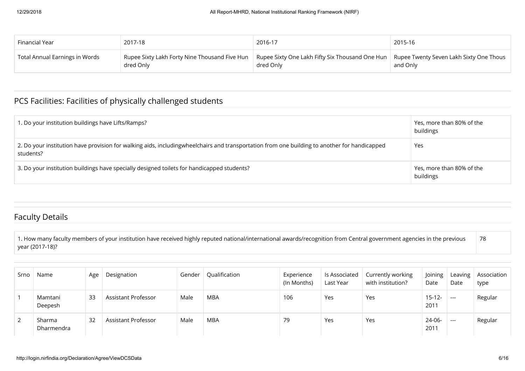| Financial Year                 | 2017-18                                                    | 2016-17                                                                                                     | 2015-16  |
|--------------------------------|------------------------------------------------------------|-------------------------------------------------------------------------------------------------------------|----------|
| Total Annual Earnings in Words | Rupee Sixty Lakh Forty Nine Thousand Five Hun<br>dred Only | Rupee Sixty One Lakh Fifty Six Thousand One Hun $\mid$ Rupee Twenty Seven Lakh Sixty One Thous<br>dred Only | and Only |

# PCS Facilities: Facilities of physically challenged students

| 1. Do your institution buildings have Lifts/Ramps?                                                                                                        | Yes, more than 80% of the<br>buildings |
|-----------------------------------------------------------------------------------------------------------------------------------------------------------|----------------------------------------|
| 2. Do your institution have provision for walking aids, includingwheelchairs and transportation from one building to another for handicapped<br>students? | Yes                                    |
| 3. Do your institution buildings have specially designed toilets for handicapped students?                                                                | Yes, more than 80% of the<br>buildings |

### Faculty Details

1. How many faculty members of your institution have received highly reputed national/international awards/recognition from Central government agencies in the previous year (2017-18)? 78

| Srno | Name                 | Age | Designation         | Gender | Qualification | Experience<br>(In Months) | ls Associated<br>Last Year | Currently working<br>with institution? | Joining<br>Date     | Date  | Leaving $\vert$ Association<br>type |
|------|----------------------|-----|---------------------|--------|---------------|---------------------------|----------------------------|----------------------------------------|---------------------|-------|-------------------------------------|
|      | Mamtani<br>Deepesh   | 33  | Assistant Professor | Male   | MBA           | 106                       | Yes                        | Yes                                    | $15 - 12 -$<br>2011 | $---$ | Regular                             |
|      | Sharma<br>Dharmendra | 32  | Assistant Professor | Male   | <b>MBA</b>    | 79                        | Yes                        | Yes                                    | 24-06-<br>2011      | $---$ | Regular                             |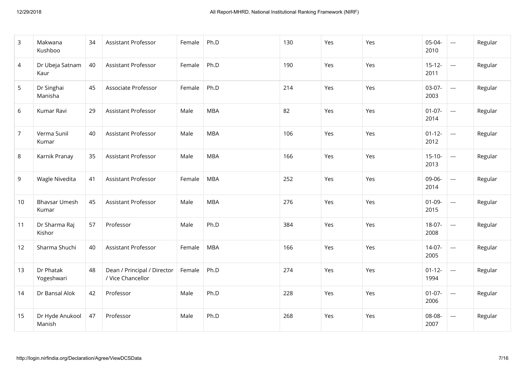| 3              | Makwana<br>Kushboo            | 34 | Assistant Professor                              | Female | Ph.D       | 130 | Yes | Yes | 05-04-<br>2010      | $\scriptstyle\cdots$     | Regular |
|----------------|-------------------------------|----|--------------------------------------------------|--------|------------|-----|-----|-----|---------------------|--------------------------|---------|
| 4              | Dr Ubeja Satnam<br>Kaur       | 40 | Assistant Professor                              | Female | Ph.D       | 190 | Yes | Yes | $15 - 12 -$<br>2011 | $\cdots$                 | Regular |
| 5              | Dr Singhai<br>Manisha         | 45 | Associate Professor                              | Female | Ph.D       | 214 | Yes | Yes | $03-07-$<br>2003    | $\overline{\phantom{a}}$ | Regular |
| 6              | Kumar Ravi                    | 29 | Assistant Professor                              | Male   | <b>MBA</b> | 82  | Yes | Yes | $01-07-$<br>2014    | $\overline{\phantom{a}}$ | Regular |
| $\overline{7}$ | Verma Sunil<br>Kumar          | 40 | <b>Assistant Professor</b>                       | Male   | <b>MBA</b> | 106 | Yes | Yes | $01 - 12 -$<br>2012 | ---                      | Regular |
| 8              | Karnik Pranay                 | 35 | <b>Assistant Professor</b>                       | Male   | <b>MBA</b> | 166 | Yes | Yes | $15-10-$<br>2013    | ---                      | Regular |
| 9              | Wagle Nivedita                | 41 | <b>Assistant Professor</b>                       | Female | <b>MBA</b> | 252 | Yes | Yes | 09-06-<br>2014      | ---                      | Regular |
| 10             | <b>Bhavsar Umesh</b><br>Kumar | 45 | Assistant Professor                              | Male   | <b>MBA</b> | 276 | Yes | Yes | $01-09-$<br>2015    | $\overline{\phantom{a}}$ | Regular |
| 11             | Dr Sharma Raj<br>Kishor       | 57 | Professor                                        | Male   | Ph.D       | 384 | Yes | Yes | $18-07-$<br>2008    | $\overline{\phantom{a}}$ | Regular |
| 12             | Sharma Shuchi                 | 40 | <b>Assistant Professor</b>                       | Female | <b>MBA</b> | 166 | Yes | Yes | $14-07-$<br>2005    | $\overline{\phantom{a}}$ | Regular |
| 13             | Dr Phatak<br>Yogeshwari       | 48 | Dean / Principal / Director<br>/ Vice Chancellor | Female | Ph.D       | 274 | Yes | Yes | $01 - 12 -$<br>1994 | $---$                    | Regular |
| 14             | Dr Bansal Alok                | 42 | Professor                                        | Male   | Ph.D       | 228 | Yes | Yes | $01-07-$<br>2006    | $---$                    | Regular |
| 15             | Dr Hyde Anukool<br>Manish     | 47 | Professor                                        | Male   | Ph.D       | 268 | Yes | Yes | 08-08-<br>2007      | $\overline{\phantom{a}}$ | Regular |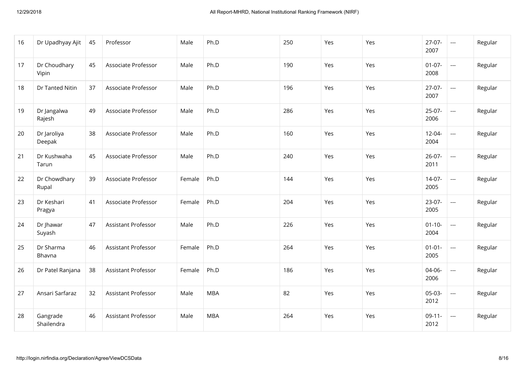| 16 | Dr Upadhyay Ajit       | 45 | Professor           | Male   | Ph.D       | 250 | Yes | Yes | $27-07-$<br>2007    | $\overline{a}$           | Regular |
|----|------------------------|----|---------------------|--------|------------|-----|-----|-----|---------------------|--------------------------|---------|
| 17 | Dr Choudhary<br>Vipin  | 45 | Associate Professor | Male   | Ph.D       | 190 | Yes | Yes | $01-07-$<br>2008    | $---$                    | Regular |
| 18 | Dr Tanted Nitin        | 37 | Associate Professor | Male   | Ph.D       | 196 | Yes | Yes | $27-07-$<br>2007    | $---$                    | Regular |
| 19 | Dr Jangalwa<br>Rajesh  | 49 | Associate Professor | Male   | Ph.D       | 286 | Yes | Yes | $25-07-$<br>2006    | $---$                    | Regular |
| 20 | Dr Jaroliya<br>Deepak  | 38 | Associate Professor | Male   | Ph.D       | 160 | Yes | Yes | $12 - 04 -$<br>2004 | $---$                    | Regular |
| 21 | Dr Kushwaha<br>Tarun   | 45 | Associate Professor | Male   | Ph.D       | 240 | Yes | Yes | $26 - 07 -$<br>2011 | $---$                    | Regular |
| 22 | Dr Chowdhary<br>Rupal  | 39 | Associate Professor | Female | Ph.D       | 144 | Yes | Yes | $14-07-$<br>2005    | ---                      | Regular |
| 23 | Dr Keshari<br>Pragya   | 41 | Associate Professor | Female | Ph.D       | 204 | Yes | Yes | $23-07-$<br>2005    | ---                      | Regular |
| 24 | Dr Jhawar<br>Suyash    | 47 | Assistant Professor | Male   | Ph.D       | 226 | Yes | Yes | $01 - 10 -$<br>2004 | ---                      | Regular |
| 25 | Dr Sharma<br>Bhavna    | 46 | Assistant Professor | Female | Ph.D       | 264 | Yes | Yes | $01 - 01 -$<br>2005 | $\overline{\phantom{a}}$ | Regular |
| 26 | Dr Patel Ranjana       | 38 | Assistant Professor | Female | Ph.D       | 186 | Yes | Yes | 04-06-<br>2006      | ---                      | Regular |
| 27 | Ansari Sarfaraz        | 32 | Assistant Professor | Male   | <b>MBA</b> | 82  | Yes | Yes | 05-03-<br>2012      | ---                      | Regular |
| 28 | Gangrade<br>Shailendra | 46 | Assistant Professor | Male   | <b>MBA</b> | 264 | Yes | Yes | $09-11-$<br>2012    | ---                      | Regular |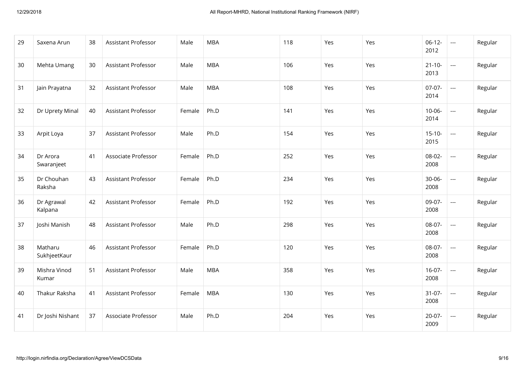| 29 | Saxena Arun             | 38 | Assistant Professor        | Male   | <b>MBA</b> | 118 | Yes | Yes | $06-12-$<br>2012    | $\hspace{0.05cm} \ldots$ | Regular |
|----|-------------------------|----|----------------------------|--------|------------|-----|-----|-----|---------------------|--------------------------|---------|
| 30 | Mehta Umang             | 30 | Assistant Professor        | Male   | <b>MBA</b> | 106 | Yes | Yes | $21 - 10 -$<br>2013 | $---$                    | Regular |
| 31 | Jain Prayatna           | 32 | Assistant Professor        | Male   | <b>MBA</b> | 108 | Yes | Yes | $07-07-$<br>2014    | $---$                    | Regular |
| 32 | Dr Uprety Minal         | 40 | <b>Assistant Professor</b> | Female | Ph.D       | 141 | Yes | Yes | $10 - 06 -$<br>2014 | ---                      | Regular |
| 33 | Arpit Loya              | 37 | Assistant Professor        | Male   | Ph.D       | 154 | Yes | Yes | $15-10-$<br>2015    | $\cdots$                 | Regular |
| 34 | Dr Arora<br>Swaranjeet  | 41 | Associate Professor        | Female | Ph.D       | 252 | Yes | Yes | 08-02-<br>2008      | ---                      | Regular |
| 35 | Dr Chouhan<br>Raksha    | 43 | <b>Assistant Professor</b> | Female | Ph.D       | 234 | Yes | Yes | $30 - 06 -$<br>2008 | ---                      | Regular |
| 36 | Dr Agrawal<br>Kalpana   | 42 | Assistant Professor        | Female | Ph.D       | 192 | Yes | Yes | 09-07-<br>2008      | ---                      | Regular |
| 37 | Joshi Manish            | 48 | <b>Assistant Professor</b> | Male   | Ph.D       | 298 | Yes | Yes | 08-07-<br>2008      | ---                      | Regular |
| 38 | Matharu<br>SukhjeetKaur | 46 | <b>Assistant Professor</b> | Female | Ph.D       | 120 | Yes | Yes | 08-07-<br>2008      | $\hspace{0.05cm}\ldots$  | Regular |
| 39 | Mishra Vinod<br>Kumar   | 51 | <b>Assistant Professor</b> | Male   | <b>MBA</b> | 358 | Yes | Yes | $16-07-$<br>2008    | ---                      | Regular |
| 40 | Thakur Raksha           | 41 | Assistant Professor        | Female | <b>MBA</b> | 130 | Yes | Yes | $31-07-$<br>2008    | ---                      | Regular |
| 41 | Dr Joshi Nishant        | 37 | Associate Professor        | Male   | Ph.D       | 204 | Yes | Yes | $20-07-$<br>2009    | $\overline{\phantom{a}}$ | Regular |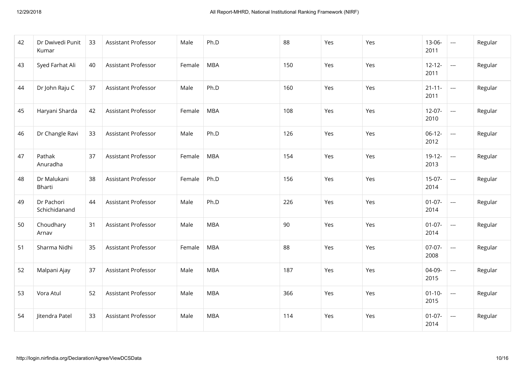| 42 | Dr Dwivedi Punit<br>Kumar   | 33 | <b>Assistant Professor</b> | Male   | Ph.D       | 88  | Yes | Yes | 13-06-<br>2011      | $\hspace{0.05cm} \ldots$ | Regular |
|----|-----------------------------|----|----------------------------|--------|------------|-----|-----|-----|---------------------|--------------------------|---------|
| 43 | Syed Farhat Ali             | 40 | <b>Assistant Professor</b> | Female | <b>MBA</b> | 150 | Yes | Yes | $12 - 12 -$<br>2011 | ---                      | Regular |
| 44 | Dr John Raju C              | 37 | <b>Assistant Professor</b> | Male   | Ph.D       | 160 | Yes | Yes | $21 - 11 -$<br>2011 | ---                      | Regular |
| 45 | Haryani Sharda              | 42 | <b>Assistant Professor</b> | Female | <b>MBA</b> | 108 | Yes | Yes | $12-07-$<br>2010    | $\overline{\phantom{a}}$ | Regular |
| 46 | Dr Changle Ravi             | 33 | Assistant Professor        | Male   | Ph.D       | 126 | Yes | Yes | $06-12-$<br>2012    | $\overline{\phantom{a}}$ | Regular |
| 47 | Pathak<br>Anuradha          | 37 | Assistant Professor        | Female | <b>MBA</b> | 154 | Yes | Yes | $19-12-$<br>2013    | ---                      | Regular |
| 48 | Dr Malukani<br>Bharti       | 38 | <b>Assistant Professor</b> | Female | Ph.D       | 156 | Yes | Yes | $15-07-$<br>2014    | ---                      | Regular |
| 49 | Dr Pachori<br>Schichidanand | 44 | <b>Assistant Professor</b> | Male   | Ph.D       | 226 | Yes | Yes | $01-07-$<br>2014    | $\overline{\phantom{a}}$ | Regular |
| 50 | Choudhary<br>Arnav          | 31 | <b>Assistant Professor</b> | Male   | <b>MBA</b> | 90  | Yes | Yes | $01-07-$<br>2014    | ---                      | Regular |
| 51 | Sharma Nidhi                | 35 | Assistant Professor        | Female | <b>MBA</b> | 88  | Yes | Yes | $07-07-$<br>2008    | $\cdots$                 | Regular |
| 52 | Malpani Ajay                | 37 | Assistant Professor        | Male   | <b>MBA</b> | 187 | Yes | Yes | 04-09-<br>2015      | $\cdots$                 | Regular |
| 53 | Vora Atul                   | 52 | Assistant Professor        | Male   | <b>MBA</b> | 366 | Yes | Yes | $01 - 10 -$<br>2015 | $\hspace{0.05cm} \ldots$ | Regular |
| 54 | Jitendra Patel              | 33 | Assistant Professor        | Male   | <b>MBA</b> | 114 | Yes | Yes | $01-07-$<br>2014    | $---$                    | Regular |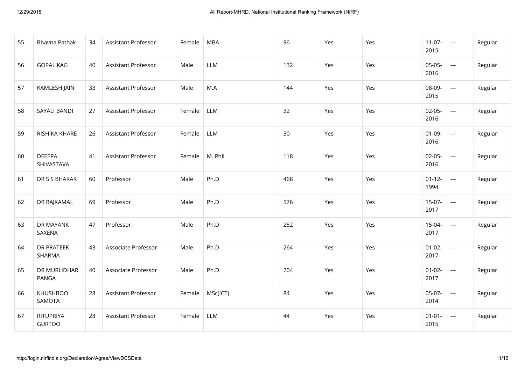| 55 | Bhavna Pathak               | 34 | Assistant Professor        | Female | <b>MBA</b> | 96  | Yes | Yes | $11-07-$<br>2015    | $\overline{\phantom{a}}$ | Regular |
|----|-----------------------------|----|----------------------------|--------|------------|-----|-----|-----|---------------------|--------------------------|---------|
| 56 | <b>GOPAL KAG</b>            | 40 | Assistant Professor        | Male   | LLM        | 132 | Yes | Yes | 05-05-<br>2016      | $---$                    | Regular |
| 57 | KAMLESH JAIN                | 33 | Assistant Professor        | Male   | M.A        | 144 | Yes | Yes | 08-09-<br>2015      | $---$                    | Regular |
| 58 | SAYALI BANDI                | 27 | Assistant Professor        | Female | LLM        | 32  | Yes | Yes | $02-05-$<br>2016    | $---$                    | Regular |
| 59 | RISHIKA KHARE               | 26 | Assistant Professor        | Female | LLM        | 30  | Yes | Yes | $01-09-$<br>2016    | $---$                    | Regular |
| 60 | <b>DEEEPA</b><br>SHIVASTAVA | 41 | Assistant Professor        | Female | M. Phil    | 118 | Yes | Yes | $02 - 05 -$<br>2016 | $---$                    | Regular |
| 61 | DR S S BHAKAR               | 60 | Professor                  | Male   | Ph.D       | 468 | Yes | Yes | $01 - 12 -$<br>1994 | ---                      | Regular |
| 62 | DR RAJKAMAL                 | 69 | Professor                  | Male   | Ph.D       | 576 | Yes | Yes | $15-07-$<br>2017    | $---$                    | Regular |
| 63 | DR MAYANK<br>SAXENA         | 47 | Professor                  | Male   | Ph.D       | 252 | Yes | Yes | 15-04-<br>2017      | $\overline{\phantom{a}}$ | Regular |
| 64 | DR PRATEEK<br>SHARMA        | 43 | Associate Professor        | Male   | Ph.D       | 264 | Yes | Yes | $01 - 02 -$<br>2017 | $\hspace{0.05cm} \ldots$ | Regular |
| 65 | DR MURLIDHAR<br>PANGA       | 40 | Associate Professor        | Male   | Ph.D       | 204 | Yes | Yes | $01 - 02 -$<br>2017 | ---                      | Regular |
| 66 | <b>KHUSHBOO</b><br>SAMOTA   | 28 | <b>Assistant Professor</b> | Female | MSc(ICT)   | 84  | Yes | Yes | 05-07-<br>2014      | ---                      | Regular |
| 67 | RITUPRIYA<br><b>GURTOO</b>  | 28 | Assistant Professor        | Female | LLM        | 44  | Yes | Yes | $01 - 01 -$<br>2015 | $\hspace{0.05cm} \ldots$ | Regular |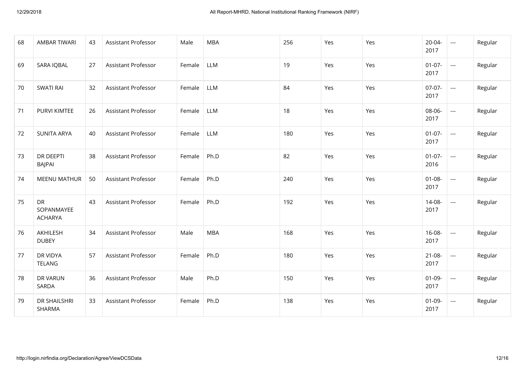| 68 | <b>AMBAR TIWARI</b>                | 43 | Assistant Professor        | Male   | <b>MBA</b> | 256 | Yes | Yes | 20-04-<br>2017      | $\hspace{0.05cm} \ldots$ | Regular |
|----|------------------------------------|----|----------------------------|--------|------------|-----|-----|-----|---------------------|--------------------------|---------|
| 69 | <b>SARA IQBAL</b>                  | 27 | Assistant Professor        | Female | LLM        | 19  | Yes | Yes | $01 - 07 -$<br>2017 | $\hspace{0.05cm} \ldots$ | Regular |
| 70 | <b>SWATI RAI</b>                   | 32 | <b>Assistant Professor</b> | Female | <b>LLM</b> | 84  | Yes | Yes | $07-07-$<br>2017    | $\overline{\phantom{a}}$ | Regular |
| 71 | PURVI KIMTEE                       | 26 | <b>Assistant Professor</b> | Female | LLM        | 18  | Yes | Yes | 08-06-<br>2017      | $\hspace{0.05cm}\ldots$  | Regular |
| 72 | <b>SUNITA ARYA</b>                 | 40 | Assistant Professor        | Female | LLM        | 180 | Yes | Yes | $01 - 07 -$<br>2017 | $\overline{\phantom{a}}$ | Regular |
| 73 | DR DEEPTI<br><b>BAJPAI</b>         | 38 | <b>Assistant Professor</b> | Female | Ph.D       | 82  | Yes | Yes | $01 - 07 -$<br>2016 | $\hspace{0.05cm}\ldots$  | Regular |
| 74 | <b>MEENU MATHUR</b>                | 50 | Assistant Professor        | Female | Ph.D       | 240 | Yes | Yes | $01 - 08 -$<br>2017 | ---                      | Regular |
| 75 | DR<br>SOPANMAYEE<br><b>ACHARYA</b> | 43 | <b>Assistant Professor</b> | Female | Ph.D       | 192 | Yes | Yes | 14-08-<br>2017      | ---                      | Regular |
| 76 | AKHILESH<br><b>DUBEY</b>           | 34 | Assistant Professor        | Male   | <b>MBA</b> | 168 | Yes | Yes | 16-08-<br>2017      | $---$                    | Regular |
| 77 | DR VIDYA<br>TELANG                 | 57 | <b>Assistant Professor</b> | Female | Ph.D       | 180 | Yes | Yes | $21 - 08 -$<br>2017 | $---$                    | Regular |
| 78 | DR VARUN<br>SARDA                  | 36 | <b>Assistant Professor</b> | Male   | Ph.D       | 150 | Yes | Yes | $01-09-$<br>2017    | $---$                    | Regular |
| 79 | DR SHAILSHRI<br>SHARMA             | 33 | Assistant Professor        | Female | Ph.D       | 138 | Yes | Yes | $01-09-$<br>2017    | ---                      | Regular |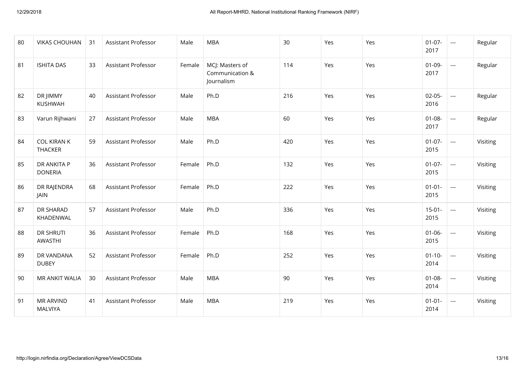| 80 | <b>VIKAS CHOUHAN</b>               | 31 | Assistant Professor        | Male   | <b>MBA</b>                                       | 30  | Yes | Yes | $01-07-$<br>2017    | $\overline{\phantom{a}}$ | Regular  |
|----|------------------------------------|----|----------------------------|--------|--------------------------------------------------|-----|-----|-----|---------------------|--------------------------|----------|
| 81 | <b>ISHITA DAS</b>                  | 33 | <b>Assistant Professor</b> | Female | MCJ: Masters of<br>Communication &<br>Journalism | 114 | Yes | Yes | $01-09-$<br>2017    | $\overline{\phantom{a}}$ | Regular  |
| 82 | DR JIMMY<br>KUSHWAH                | 40 | <b>Assistant Professor</b> | Male   | Ph.D                                             | 216 | Yes | Yes | $02-05-$<br>2016    | ---                      | Regular  |
| 83 | Varun Rijhwani                     | 27 | Assistant Professor        | Male   | <b>MBA</b>                                       | 60  | Yes | Yes | $01 - 08 -$<br>2017 | $\hspace{0.05cm}\ldots$  | Regular  |
| 84 | <b>COL KIRAN K</b><br>THACKER      | 59 | <b>Assistant Professor</b> | Male   | Ph.D                                             | 420 | Yes | Yes | $01-07-$<br>2015    | ---                      | Visiting |
| 85 | DR ANKITA P<br><b>DONERIA</b>      | 36 | <b>Assistant Professor</b> | Female | Ph.D                                             | 132 | Yes | Yes | $01-07-$<br>2015    | $\hspace{0.05cm}\ldots$  | Visiting |
| 86 | DR RAJENDRA<br>JAIN                | 68 | <b>Assistant Professor</b> | Female | Ph.D                                             | 222 | Yes | Yes | $01 - 01 -$<br>2015 | $\overline{\phantom{a}}$ | Visiting |
| 87 | DR SHARAD<br>KHADENWAL             | 57 | Assistant Professor        | Male   | Ph.D                                             | 336 | Yes | Yes | $15-01-$<br>2015    | ---                      | Visiting |
| 88 | <b>DR SHRUTI</b><br>AWASTHI        | 36 | Assistant Professor        | Female | Ph.D                                             | 168 | Yes | Yes | $01 - 06 -$<br>2015 | $\cdots$                 | Visiting |
| 89 | DR VANDANA<br><b>DUBEY</b>         | 52 | <b>Assistant Professor</b> | Female | Ph.D                                             | 252 | Yes | Yes | $01 - 10 -$<br>2014 | $\cdots$                 | Visiting |
| 90 | MR ANKIT WALIA                     | 30 | Assistant Professor        | Male   | <b>MBA</b>                                       | 90  | Yes | Yes | $01 - 08 -$<br>2014 | $\cdots$                 | Visiting |
| 91 | <b>MR ARVIND</b><br><b>MALVIYA</b> | 41 | <b>Assistant Professor</b> | Male   | <b>MBA</b>                                       | 219 | Yes | Yes | $01 - 01 -$<br>2014 | $\cdots$                 | Visiting |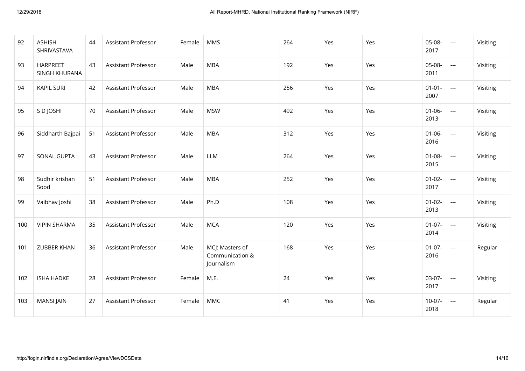| 92  | <b>ASHISH</b><br>SHRIVASTAVA | 44 | Assistant Professor        | Female | <b>MMS</b>                                       | 264 | Yes | Yes | 05-08-<br>2017      | $\overline{\phantom{a}}$ | Visiting |
|-----|------------------------------|----|----------------------------|--------|--------------------------------------------------|-----|-----|-----|---------------------|--------------------------|----------|
| 93  | HARPREET<br>SINGH KHURANA    | 43 | Assistant Professor        | Male   | <b>MBA</b>                                       | 192 | Yes | Yes | 05-08-<br>2011      | $\overline{\phantom{a}}$ | Visiting |
| 94  | <b>KAPIL SURI</b>            | 42 | Assistant Professor        | Male   | <b>MBA</b>                                       | 256 | Yes | Yes | $01 - 01 -$<br>2007 | $\hspace{0.05cm} \ldots$ | Visiting |
| 95  | S D JOSHI                    | 70 | Assistant Professor        | Male   | <b>MSW</b>                                       | 492 | Yes | Yes | $01 - 06 -$<br>2013 | $\overline{\phantom{a}}$ | Visiting |
| 96  | Siddharth Bajpai             | 51 | Assistant Professor        | Male   | <b>MBA</b>                                       | 312 | Yes | Yes | $01 - 06 -$<br>2016 | $\hspace{0.05cm}\ldots$  | Visiting |
| 97  | SONAL GUPTA                  | 43 | Assistant Professor        | Male   | LLM                                              | 264 | Yes | Yes | $01 - 08 -$<br>2015 | $\overline{\phantom{a}}$ | Visiting |
| 98  | Sudhir krishan<br>Sood       | 51 | Assistant Professor        | Male   | <b>MBA</b>                                       | 252 | Yes | Yes | $01 - 02 -$<br>2017 | $\hspace{0.05cm} \ldots$ | Visiting |
| 99  | Vaibhav Joshi                | 38 | Assistant Professor        | Male   | Ph.D                                             | 108 | Yes | Yes | $01 - 02 -$<br>2013 | $\overline{\phantom{a}}$ | Visiting |
| 100 | <b>VIPIN SHARMA</b>          | 35 | Assistant Professor        | Male   | <b>MCA</b>                                       | 120 | Yes | Yes | $01-07-$<br>2014    | $\overline{\phantom{a}}$ | Visiting |
| 101 | <b>ZUBBER KHAN</b>           | 36 | <b>Assistant Professor</b> | Male   | MCJ: Masters of<br>Communication &<br>Journalism | 168 | Yes | Yes | $01-07-$<br>2016    | $\cdots$                 | Regular  |
| 102 | <b>ISHA HADKE</b>            | 28 | Assistant Professor        | Female | M.E.                                             | 24  | Yes | Yes | 03-07-<br>2017      | $\cdots$                 | Visiting |
| 103 | <b>MANSI JAIN</b>            | 27 | Assistant Professor        | Female | <b>MMC</b>                                       | 41  | Yes | Yes | $10-07-$<br>2018    | $\cdots$                 | Regular  |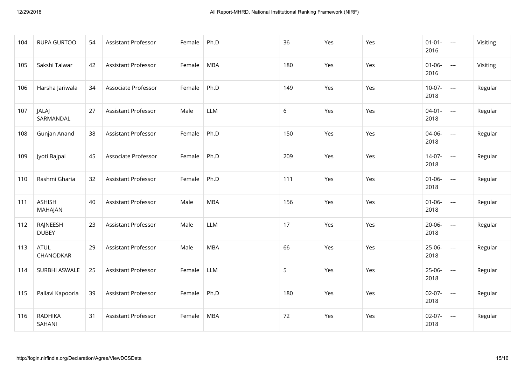| 104 | <b>RUPA GURTOO</b>        | 54 | <b>Assistant Professor</b> | Female | Ph.D       | 36  | Yes | Yes | $01 - 01 -$<br>2016 | $--$                     | Visiting |
|-----|---------------------------|----|----------------------------|--------|------------|-----|-----|-----|---------------------|--------------------------|----------|
| 105 | Sakshi Talwar             | 42 | <b>Assistant Professor</b> | Female | <b>MBA</b> | 180 | Yes | Yes | $01 - 06 -$<br>2016 | $\hspace{0.05cm} \ldots$ | Visiting |
| 106 | Harsha Jariwala           | 34 | Associate Professor        | Female | Ph.D       | 149 | Yes | Yes | $10-07-$<br>2018    | $\hspace{0.05cm} \ldots$ | Regular  |
| 107 | <b>JALAJ</b><br>SARMANDAL | 27 | <b>Assistant Professor</b> | Male   | LLM        | 6   | Yes | Yes | $04 - 01 -$<br>2018 | $\hspace{0.05cm} \ldots$ | Regular  |
| 108 | Gunjan Anand              | 38 | <b>Assistant Professor</b> | Female | Ph.D       | 150 | Yes | Yes | 04-06-<br>2018      | ---                      | Regular  |
| 109 | Jyoti Bajpai              | 45 | Associate Professor        | Female | Ph.D       | 209 | Yes | Yes | $14-07-$<br>2018    | $\hspace{0.05cm} \ldots$ | Regular  |
| 110 | Rashmi Gharia             | 32 | <b>Assistant Professor</b> | Female | Ph.D       | 111 | Yes | Yes | $01 - 06 -$<br>2018 | $---$                    | Regular  |
| 111 | <b>ASHISH</b><br>MAHAJAN  | 40 | Assistant Professor        | Male   | <b>MBA</b> | 156 | Yes | Yes | $01 - 06 -$<br>2018 | $\hspace{0.05cm} \ldots$ | Regular  |
| 112 | RAJNEESH<br><b>DUBEY</b>  | 23 | <b>Assistant Professor</b> | Male   | LLM        | 17  | Yes | Yes | $20 - 06 -$<br>2018 | ---                      | Regular  |
| 113 | <b>ATUL</b><br>CHANODKAR  | 29 | <b>Assistant Professor</b> | Male   | <b>MBA</b> | 66  | Yes | Yes | $25-06-$<br>2018    | $\overline{\phantom{a}}$ | Regular  |
| 114 | SURBHI ASWALE             | 25 | Assistant Professor        | Female | <b>LLM</b> | 5   | Yes | Yes | $25-06-$<br>2018    | $---$                    | Regular  |
| 115 | Pallavi Kapooria          | 39 | Assistant Professor        | Female | Ph.D       | 180 | Yes | Yes | $02-07-$<br>2018    | ---                      | Regular  |
| 116 | <b>RADHIKA</b><br>SAHANI  | 31 | Assistant Professor        | Female | <b>MBA</b> | 72  | Yes | Yes | $02-07-$<br>2018    | $\hspace{0.05cm} \ldots$ | Regular  |